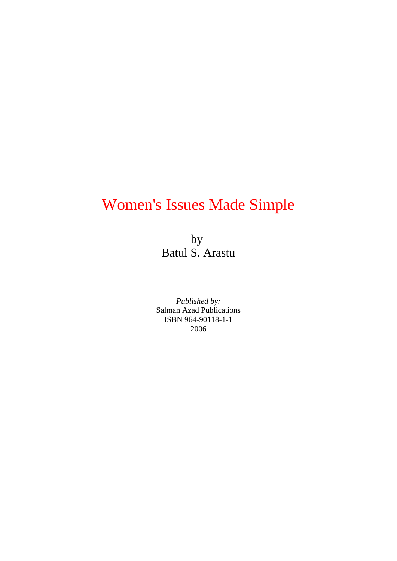# Women's Issues Made Simple

by Batul S. Arastu

*Published by:* Salman Azad Publications ISBN 964-90118-1-1 2006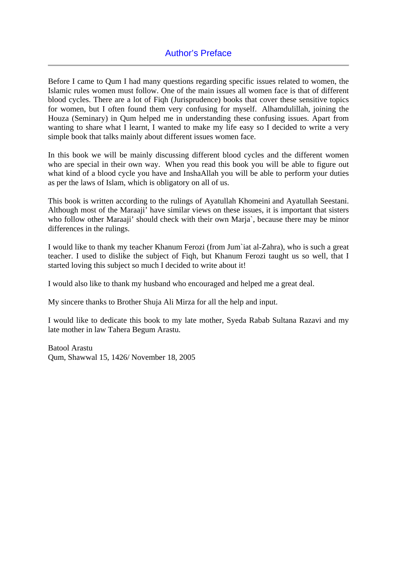Before I came to Qum I had many questions regarding specific issues related to women, the Islamic rules women must follow. One of the main issues all women face is that of different blood cycles. There are a lot of Fiqh (Jurisprudence) books that cover these sensitive topics for women, but I often found them very confusing for myself. Alhamdulillah, joining the Houza (Seminary) in Qum helped me in understanding these confusing issues. Apart from wanting to share what I learnt, I wanted to make my life easy so I decided to write a very simple book that talks mainly about different issues women face.

In this book we will be mainly discussing different blood cycles and the different women who are special in their own way. When you read this book you will be able to figure out what kind of a blood cycle you have and InshaAllah you will be able to perform your duties as per the laws of Islam, which is obligatory on all of us.

This book is written according to the rulings of Ayatullah Khomeini and Ayatullah Seestani. Although most of the Maraaji' have similar views on these issues, it is important that sisters who follow other Maraaji' should check with their own Marja`, because there may be minor differences in the rulings.

I would like to thank my teacher Khanum Ferozi (from Jum`iat al-Zahra), who is such a great teacher. I used to dislike the subject of Fiqh, but Khanum Ferozi taught us so well, that I started loving this subject so much I decided to write about it!

I would also like to thank my husband who encouraged and helped me a great deal.

My sincere thanks to Brother Shuja Ali Mirza for all the help and input.

I would like to dedicate this book to my late mother, Syeda Rabab Sultana Razavi and my late mother in law Tahera Begum Arastu.

Batool Arastu Qum, Shawwal 15, 1426/ November 18, 2005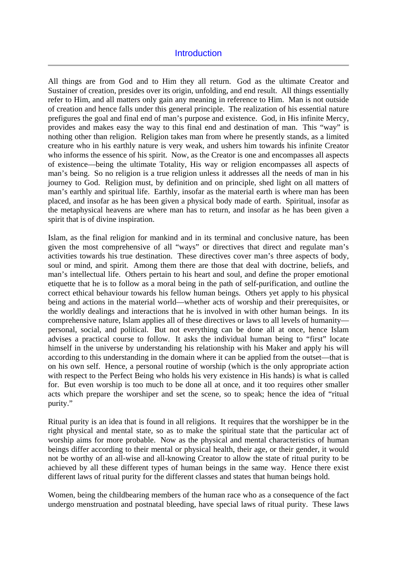# **Introduction**

All things are from God and to Him they all return. God as the ultimate Creator and Sustainer of creation, presides over its origin, unfolding, and end result. All things essentially refer to Him, and all matters only gain any meaning in reference to Him. Man is not outside of creation and hence falls under this general principle. The realization of his essential nature prefigures the goal and final end of man's purpose and existence. God, in His infinite Mercy, provides and makes easy the way to this final end and destination of man. This "way" is nothing other than religion. Religion takes man from where he presently stands, as a limited creature who in his earthly nature is very weak, and ushers him towards his infinite Creator who informs the essence of his spirit. Now, as the Creator is one and encompasses all aspects of existence—being the ultimate Totality, His way or religion encompasses all aspects of man's being. So no religion is a true religion unless it addresses all the needs of man in his journey to God. Religion must, by definition and on principle, shed light on all matters of man's earthly and spiritual life. Earthly, insofar as the material earth is where man has been placed, and insofar as he has been given a physical body made of earth. Spiritual, insofar as the metaphysical heavens are where man has to return, and insofar as he has been given a spirit that is of divine inspiration.

Islam, as the final religion for mankind and in its terminal and conclusive nature, has been given the most comprehensive of all "ways" or directives that direct and regulate man's activities towards his true destination. These directives cover man's three aspects of body, soul or mind, and spirit. Among them there are those that deal with doctrine, beliefs, and man's intellectual life. Others pertain to his heart and soul, and define the proper emotional etiquette that he is to follow as a moral being in the path of self-purification, and outline the correct ethical behaviour towards his fellow human beings. Others yet apply to his physical being and actions in the material world—whether acts of worship and their prerequisites, or the worldly dealings and interactions that he is involved in with other human beings. In its comprehensive nature, Islam applies all of these directives or laws to all levels of humanity personal, social, and political. But not everything can be done all at once, hence Islam advises a practical course to follow. It asks the individual human being to "first" locate himself in the universe by understanding his relationship with his Maker and apply his will according to this understanding in the domain where it can be applied from the outset—that is on his own self. Hence, a personal routine of worship (which is the only appropriate action with respect to the Perfect Being who holds his very existence in His hands) is what is called for. But even worship is too much to be done all at once, and it too requires other smaller acts which prepare the worshiper and set the scene, so to speak; hence the idea of "ritual purity."

Ritual purity is an idea that is found in all religions. It requires that the worshipper be in the right physical and mental state, so as to make the spiritual state that the particular act of worship aims for more probable. Now as the physical and mental characteristics of human beings differ according to their mental or physical health, their age, or their gender, it would not be worthy of an all-wise and all-knowing Creator to allow the state of ritual purity to be achieved by all these different types of human beings in the same way. Hence there exist different laws of ritual purity for the different classes and states that human beings hold.

Women, being the childbearing members of the human race who as a consequence of the fact undergo menstruation and postnatal bleeding, have special laws of ritual purity. These laws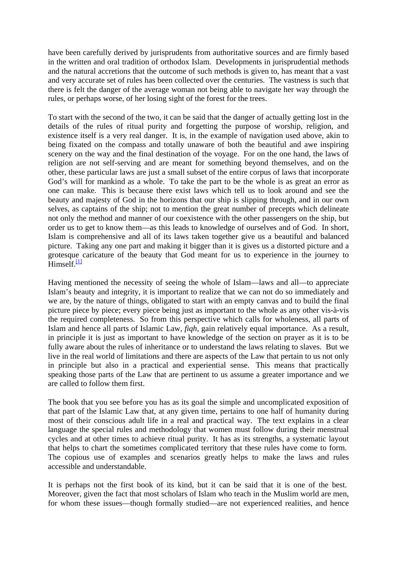have been carefully derived by jurisprudents from authoritative sources and are firmly based in the written and oral tradition of orthodox Islam. Developments in jurisprudential methods and the natural accretions that the outcome of such methods is given to, has meant that a vast and very accurate set of rules has been collected over the centuries. The vastness is such that there is felt the danger of the average woman not being able to navigate her way through the rules, or perhaps worse, of her losing sight of the forest for the trees.

To start with the second of the two, it can be said that the danger of actually getting lost in the details of the rules of ritual purity and forgetting the purpose of worship, religion, and existence itself is a very real danger. It is, in the example of navigation used above, akin to being fixated on the compass and totally unaware of both the beautiful and awe inspiring scenery on the way and the final destination of the voyage. For on the one hand, the laws of religion are not self-serving and are meant for something beyond themselves, and on the other, these particular laws are just a small subset of the entire corpus of laws that incorporate God's will for mankind as a whole. To take the part to be the whole is as great an error as one can make. This is because there exist laws which tell us to look around and see the beauty and majesty of God in the horizons that our ship is slipping through, and in our own selves, as captains of the ship; not to mention the great number of precepts which delineate not only the method and manner of our coexistence with the other passengers on the ship, but order us to get to know them—as this leads to knowledge of ourselves and of God. In short, Islam is comprehensive and all of its laws taken together give us a beautiful and balanced picture. Taking any one part and making it bigger than it is gives us a distorted picture and a grotesque caricature of the beauty that God meant for us to experience in the journey to  $Himself$ <sup>[1]</sup>

Having mentioned the necessity of seeing the whole of Islam—laws and all—to appreciate Islam's beauty and integrity, it is important to realize that we can not do so immediately and we are, by the nature of things, obligated to start with an empty canvas and to build the final picture piece by piece; every piece being just as important to the whole as any other vis-à-vis the required completeness. So from this perspective which calls for wholeness, all parts of Islam and hence all parts of Islamic Law, *fiqh*, gain relatively equal importance. As a result, in principle it is just as important to have knowledge of the section on prayer as it is to be fully aware about the rules of inheritance or to understand the laws relating to slaves. But we live in the real world of limitations and there are aspects of the Law that pertain to us not only in principle but also in a practical and experiential sense. This means that practically speaking those parts of the Law that are pertinent to us assume a greater importance and we are called to follow them first.

The book that you see before you has as its goal the simple and uncomplicated exposition of that part of the Islamic Law that, at any given time, pertains to one half of humanity during most of their conscious adult life in a real and practical way. The text explains in a clear language the special rules and methodology that women must follow during their menstrual cycles and at other times to achieve ritual purity. It has as its strengths, a systematic layout that helps to chart the sometimes complicated territory that these rules have come to form. The copious use of examples and scenarios greatly helps to make the laws and rules accessible and understandable.

It is perhaps not the first book of its kind, but it can be said that it is one of the best. Moreover, given the fact that most scholars of Islam who teach in the Muslim world are men, for whom these issues—though formally studied—are not experienced realities, and hence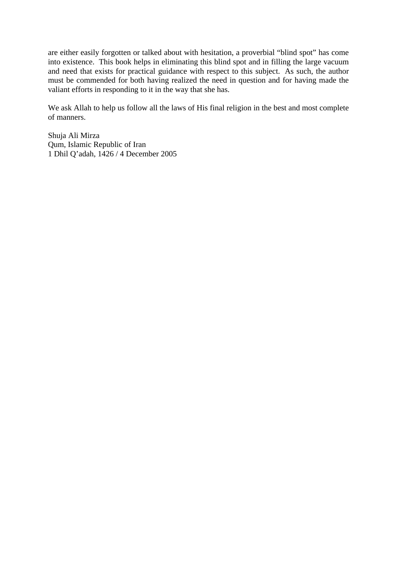are either easily forgotten or talked about with hesitation, a proverbial "blind spot" has come into existence. This book helps in eliminating this blind spot and in filling the large vacuum and need that exists for practical guidance with respect to this subject. As such, the author must be commended for both having realized the need in question and for having made the valiant efforts in responding to it in the way that she has.

We ask Allah to help us follow all the laws of His final religion in the best and most complete of manners.

Shuja Ali Mirza Qum, Islamic Republic of Iran 1 Dhil Q'adah, 1426 / 4 December 2005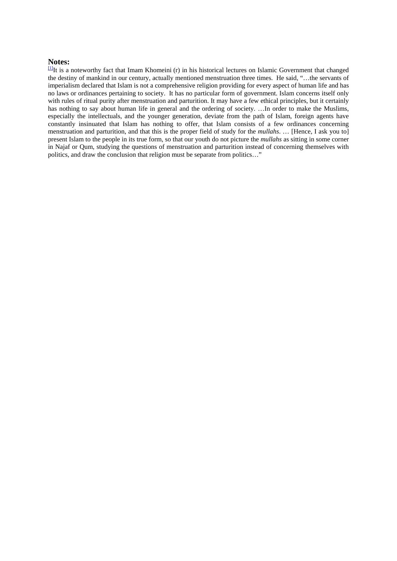**Notes:**<br><sup>[1]</sup>It is a noteworthy fact that Imam Khomeini (r) in his historical lectures on Islamic Government that changed the destiny of mankind in our century, actually mentioned menstruation three times. He said, "…the servants of imperialism declared that Islam is not a comprehensive religion providing for every aspect of human life and has no laws or ordinances pertaining to society. It has no particular form of government. Islam concerns itself only with rules of ritual purity after menstruation and parturition. It may have a few ethical principles, but it certainly has nothing to say about human life in general and the ordering of society. ...In order to make the Muslims, especially the intellectuals, and the younger generation, deviate from the path of Islam, foreign agents have constantly insinuated that Islam has nothing to offer, that Islam consists of a few ordinances concerning menstruation and parturition, and that this is the proper field of study for the *mullahs*. … [Hence, I ask you to] present Islam to the people in its true form, so that our youth do not picture the *mullahs* as sitting in some corner in Najaf or Qum, studying the questions of menstruation and parturition instead of concerning themselves with politics, and draw the conclusion that religion must be separate from politics…"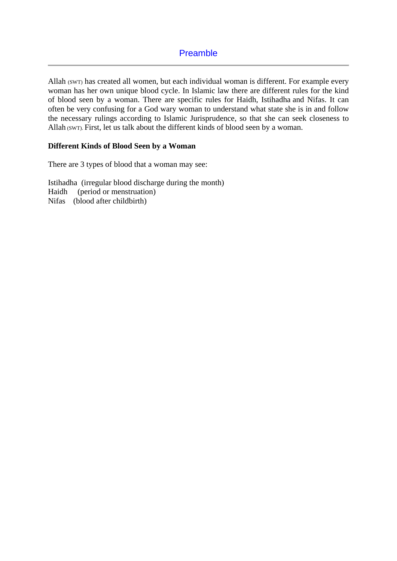Allah (SWT) has created all women, but each individual woman is different. For example every woman has her own unique blood cycle. In Islamic law there are different rules for the kind of blood seen by a woman. There are specific rules for Haidh, Istihadha and Nifas. It can often be very confusing for a God wary woman to understand what state she is in and follow the necessary rulings according to Islamic Jurisprudence, so that she can seek closeness to Allah (SWT). First, let us talk about the different kinds of blood seen by a woman.

#### **Different Kinds of Blood Seen by a Woman**

There are 3 types of blood that a woman may see:

Istihadha (irregular blood discharge during the month) Haidh (period or menstruation) Nifas (blood after childbirth)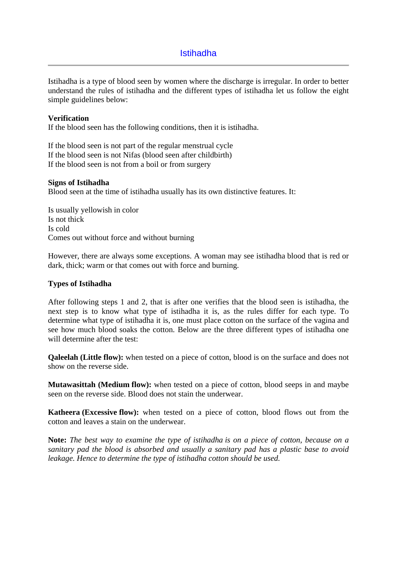# Istihadha

Istihadha is a type of blood seen by women where the discharge is irregular. In order to better understand the rules of istihadha and the different types of istihadha let us follow the eight simple guidelines below:

#### **Verification**

If the blood seen has the following conditions, then it is istihadha.

If the blood seen is not part of the regular menstrual cycle If the blood seen is not Nifas (blood seen after childbirth) If the blood seen is not from a boil or from surgery

#### **Signs of Istihadha**

Blood seen at the time of istihadha usually has its own distinctive features. It:

Is usually yellowish in color Is not thick Is cold Comes out without force and without burning

However, there are always some exceptions. A woman may see istihadha blood that is red or dark, thick; warm or that comes out with force and burning.

#### **Types of Istihadha**

After following steps 1 and 2, that is after one verifies that the blood seen is istihadha, the next step is to know what type of istihadha it is, as the rules differ for each type. To determine what type of istihadha it is, one must place cotton on the surface of the vagina and see how much blood soaks the cotton. Below are the three different types of istihadha one will determine after the test:

**Qaleelah (Little flow):** when tested on a piece of cotton, blood is on the surface and does not show on the reverse side.

**Mutawasittah (Medium flow):** when tested on a piece of cotton, blood seeps in and maybe seen on the reverse side. Blood does not stain the underwear.

**Katheera (Excessive flow):** when tested on a piece of cotton, blood flows out from the cotton and leaves a stain on the underwear.

**Note:** *The best way to examine the type of istihadha is on a piece of cotton, because on a sanitary pad the blood is absorbed and usually a sanitary pad has a plastic base to avoid leakage. Hence to determine the type of istihadha cotton should be used.*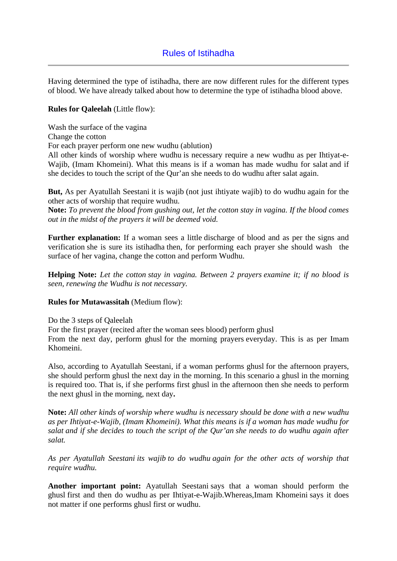# Rules of Istihadha

Having determined the type of istihadha, there are now different rules for the different types of blood. We have already talked about how to determine the type of istihadha blood above.

#### **Rules for Qaleelah** (Little flow):

Wash the surface of the vagina Change the cotton For each prayer perform one new wudhu (ablution) All other kinds of worship where wudhu is necessary require a new wudhu as per Ihtiyat-e-

Wajib, (Imam Khomeini). What this means is if a woman has made wudhu for salat and if she decides to touch the script of the Qur'an she needs to do wudhu after salat again.

**But,** As per Ayatullah Seestani it is wajib (not just ihtiyate wajib) to do wudhu again for the other acts of worship that require wudhu.

**Note:** *To prevent the blood from gushing out, let the cotton stay in vagina. If the blood comes out in the midst of the prayers it will be deemed void.*

**Further explanation:** If a woman sees a little discharge of blood and as per the signs and verification she is sure its istihadha then, for performing each prayer she should wash the surface of her vagina, change the cotton and perform Wudhu.

**Helping Note:** *Let the cotton stay in vagina. Between 2 prayers examine it; if no blood is seen, renewing the Wudhu is not necessary.*

#### **Rules for Mutawassitah** (Medium flow):

Do the 3 steps of Qaleelah

For the first prayer (recited after the woman sees blood) perform ghusl From the next day, perform ghusl for the morning prayers everyday. This is as per Imam Khomeini.

Also, according to Ayatullah Seestani, if a woman performs ghusl for the afternoon prayers, she should perform ghusl the next day in the morning. In this scenario a ghusl in the morning is required too. That is, if she performs first ghusl in the afternoon then she needs to perform the next ghusl in the morning, next day**.** 

**Note:** *All other kinds of worship where wudhu is necessary should be done with a new wudhu as per Ihtiyat-e-Wajib, (Imam Khomeini). What this means is if a woman has made wudhu for salat and if she decides to touch the script of the Qur'an she needs to do wudhu again after salat.*

*As per Ayatullah Seestani its wajib to do wudhu again for the other acts of worship that require wudhu.*

**Another important point:** Ayatullah Seestani says that a woman should perform the ghusl first and then do wudhu as per Ihtiyat-e-Wajib.Whereas,Imam Khomeini says it does not matter if one performs ghusl first or wudhu.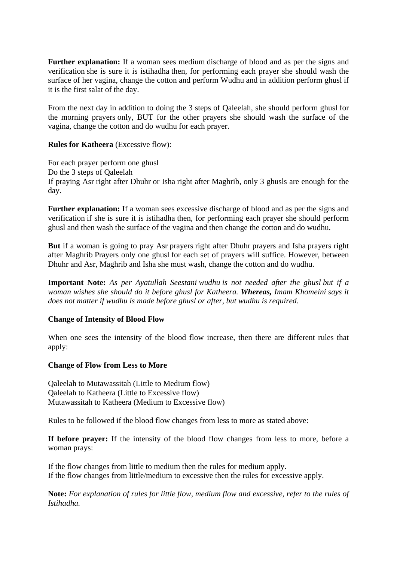**Further explanation:** If a woman sees medium discharge of blood and as per the signs and verification she is sure it is istihadha then, for performing each prayer she should wash the surface of her vagina, change the cotton and perform Wudhu and in addition perform ghusl if it is the first salat of the day.

From the next day in addition to doing the 3 steps of Qaleelah, she should perform ghusl for the morning prayers only, BUT for the other prayers she should wash the surface of the vagina, change the cotton and do wudhu for each prayer.

# **Rules for Katheera** (Excessive flow):

For each prayer perform one ghusl Do the 3 steps of Qaleelah If praying Asr right after Dhuhr or Isha right after Maghrib, only 3 ghusls are enough for the day.

**Further explanation:** If a woman sees excessive discharge of blood and as per the signs and verification if she is sure it is istihadha then, for performing each prayer she should perform ghusl and then wash the surface of the vagina and then change the cotton and do wudhu.

**But** if a woman is going to pray Asr prayers right after Dhuhr prayers and Isha prayers right after Maghrib Prayers only one ghusl for each set of prayers will suffice. However, between Dhuhr and Asr, Maghrib and Isha she must wash, change the cotton and do wudhu.

**Important Note:** *As per Ayatullah Seestani wudhu is not needed after the ghusl but if a woman wishes she should do it before ghusl for Katheera. Whereas, Imam Khomeini says it does not matter if wudhu is made before ghusl or after, but wudhu is required.*

# **Change of Intensity of Blood Flow**

When one sees the intensity of the blood flow increase, then there are different rules that apply:

#### **Change of Flow from Less to More**

Qaleelah to Mutawassitah (Little to Medium flow) Qaleelah to Katheera (Little to Excessive flow) Mutawassitah to Katheera (Medium to Excessive flow)

Rules to be followed if the blood flow changes from less to more as stated above:

**If before prayer:** If the intensity of the blood flow changes from less to more, before a woman prays:

If the flow changes from little to medium then the rules for medium apply. If the flow changes from little/medium to excessive then the rules for excessive apply.

**Note:** *For explanation of rules for little flow, medium flow and excessive, refer to the rules of Istihadha.*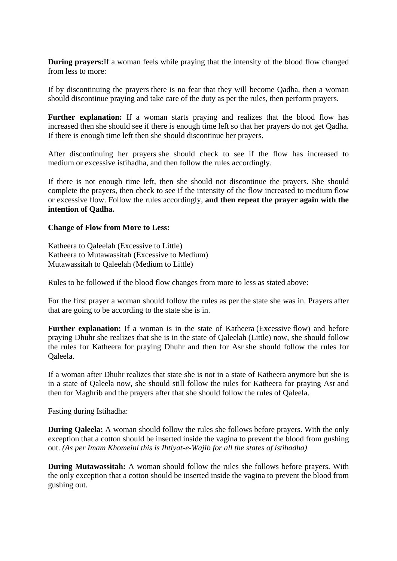**During prayers:**If a woman feels while praying that the intensity of the blood flow changed from less to more:

If by discontinuing the prayers there is no fear that they will become Qadha, then a woman should discontinue praying and take care of the duty as per the rules, then perform prayers.

**Further explanation:** If a woman starts praying and realizes that the blood flow has increased then she should see if there is enough time left so that her prayers do not get Qadha. If there is enough time left then she should discontinue her prayers.

After discontinuing her prayers she should check to see if the flow has increased to medium or excessive istihadha, and then follow the rules accordingly.

If there is not enough time left, then she should not discontinue the prayers. She should complete the prayers, then check to see if the intensity of the flow increased to medium flow or excessive flow. Follow the rules accordingly, **and then repeat the prayer again with the intention of Qadha.**

#### **Change of Flow from More to Less:**

Katheera to Qaleelah (Excessive to Little) Katheera to Mutawassitah (Excessive to Medium) Mutawassitah to Qaleelah (Medium to Little)

Rules to be followed if the blood flow changes from more to less as stated above:

For the first prayer a woman should follow the rules as per the state she was in. Prayers after that are going to be according to the state she is in.

**Further explanation:** If a woman is in the state of Katheera (Excessive flow) and before praying Dhuhr she realizes that she is in the state of Qaleelah (Little) now, she should follow the rules for Katheera for praying Dhuhr and then for Asr she should follow the rules for Qaleela.

If a woman after Dhuhr realizes that state she is not in a state of Katheera anymore but she is in a state of Qaleela now, she should still follow the rules for Katheera for praying Asr and then for Maghrib and the prayers after that she should follow the rules of Qaleela.

Fasting during Istihadha:

**During Qaleela:** A woman should follow the rules she follows before prayers. With the only exception that a cotton should be inserted inside the vagina to prevent the blood from gushing out. *(As per Imam Khomeini this is Ihtiyat-e-Wajib for all the states of istihadha)*

**During Mutawassitah:** A woman should follow the rules she follows before prayers. With the only exception that a cotton should be inserted inside the vagina to prevent the blood from gushing out.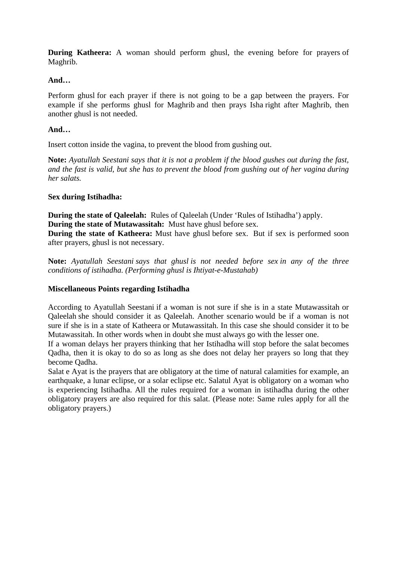**During Katheera:** A woman should perform ghusl, the evening before for prayers of Maghrib.

# **And…**

Perform ghusl for each prayer if there is not going to be a gap between the prayers. For example if she performs ghusl for Maghrib and then prays Isha right after Maghrib, then another ghusl is not needed.

# **And…**

Insert cotton inside the vagina, to prevent the blood from gushing out.

**Note:** *Ayatullah Seestani says that it is not a problem if the blood gushes out during the fast, and the fast is valid, but she has to prevent the blood from gushing out of her vagina during her salats.*

# **Sex during Istihadha:**

**During the state of Qaleelah:** Rules of Qaleelah (Under 'Rules of Istihadha') apply. **During the state of Mutawassitah:** Must have ghusl before sex.

**During the state of Katheera:** Must have ghusl before sex. But if sex is performed soon after prayers, ghusl is not necessary.

**Note:** *Ayatullah Seestani says that ghusl is not needed before sex in any of the three conditions of istihadha. (Performing ghusl is Ihtiyat-e-Mustahab)*

#### **Miscellaneous Points regarding Istihadha**

According to Ayatullah Seestani if a woman is not sure if she is in a state Mutawassitah or Qaleelah she should consider it as Qaleelah. Another scenario would be if a woman is not sure if she is in a state of Katheera or Mutawassitah. In this case she should consider it to be Mutawassitah. In other words when in doubt she must always go with the lesser one.

If a woman delays her prayers thinking that her Istihadha will stop before the salat becomes Qadha, then it is okay to do so as long as she does not delay her prayers so long that they become Qadha.

Salat e Ayat is the prayers that are obligatory at the time of natural calamities for example, an earthquake, a lunar eclipse, or a solar eclipse etc. Salatul Ayat is obligatory on a woman who is experiencing Istihadha. All the rules required for a woman in istihadha during the other obligatory prayers are also required for this salat. (Please note: Same rules apply for all the obligatory prayers.)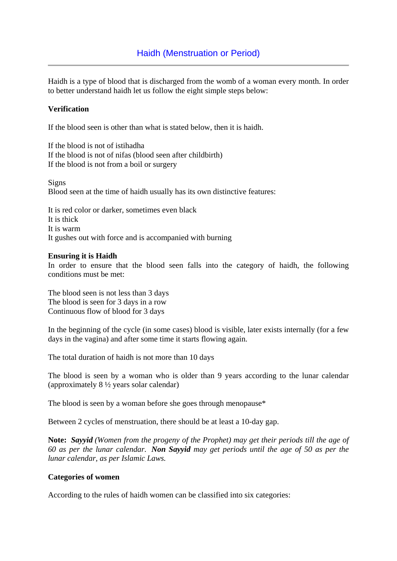Haidh is a type of blood that is discharged from the womb of a woman every month. In order to better understand haidh let us follow the eight simple steps below:

# **Verification**

If the blood seen is other than what is stated below, then it is haidh.

If the blood is not of istihadha If the blood is not of nifas (blood seen after childbirth) If the blood is not from a boil or surgery

Signs Blood seen at the time of haidh usually has its own distinctive features:

It is red color or darker, sometimes even black It is thick It is warm It gushes out with force and is accompanied with burning

#### **Ensuring it is Haidh**

In order to ensure that the blood seen falls into the category of haidh, the following conditions must be met:

The blood seen is not less than 3 days The blood is seen for 3 days in a row Continuous flow of blood for 3 days

In the beginning of the cycle (in some cases) blood is visible, later exists internally (for a few days in the vagina) and after some time it starts flowing again.

The total duration of haidh is not more than 10 days

The blood is seen by a woman who is older than 9 years according to the lunar calendar (approximately 8 ½ years solar calendar)

The blood is seen by a woman before she goes through menopause\*

Between 2 cycles of menstruation, there should be at least a 10-day gap.

**Note:** *Sayyid (Women from the progeny of the Prophet) may get their periods till the age of 60 as per the lunar calendar. Non Sayyid may get periods until the age of 50 as per the lunar calendar, as per Islamic Laws.*

#### **Categories of women**

According to the rules of haidh women can be classified into six categories: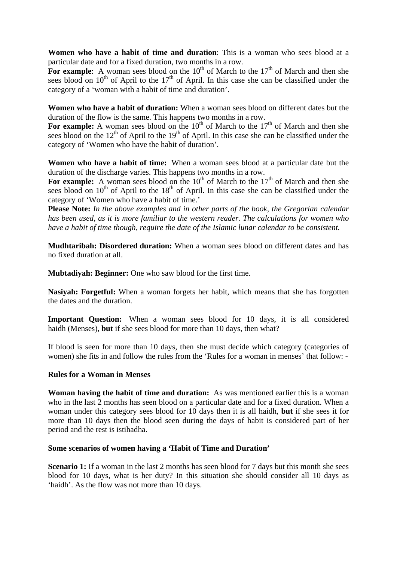**Women who have a habit of time and duration**: This is a woman who sees blood at a particular date and for a fixed duration, two months in a row.

For example: A woman sees blood on the  $10<sup>th</sup>$  of March to the  $17<sup>th</sup>$  of March and then she sees blood on  $10<sup>th</sup>$  of April to the  $17<sup>th</sup>$  of April. In this case she can be classified under the category of a 'woman with a habit of time and duration'.

**Women who have a habit of duration:** When a woman sees blood on different dates but the duration of the flow is the same. This happens two months in a row.

For example: A woman sees blood on the  $10<sup>th</sup>$  of March to the  $17<sup>th</sup>$  of March and then she sees blood on the  $12<sup>th</sup>$  of April to the  $19<sup>th</sup>$  of April. In this case she can be classified under the category of 'Women who have the habit of duration'.

**Women who have a habit of time:** When a woman sees blood at a particular date but the duration of the discharge varies. This happens two months in a row.

For example: A woman sees blood on the  $10<sup>th</sup>$  of March to the  $17<sup>th</sup>$  of March and then she sees blood on  $10<sup>th</sup>$  of April to the  $18<sup>th</sup>$  of April. In this case she can be classified under the category of 'Women who have a habit of time.'

**Please Note:** *In the above examples and in other parts of the book, the Gregorian calendar has been used, as it is more familiar to the western reader. The calculations for women who have a habit of time though, require the date of the Islamic lunar calendar to be consistent.*

**Mudhtaribah: Disordered duration:** When a woman sees blood on different dates and has no fixed duration at all.

**Mubtadiyah: Beginner:** One who saw blood for the first time.

**Nasiyah: Forgetful:** When a woman forgets her habit, which means that she has forgotten the dates and the duration.

**Important Question:** When a woman sees blood for 10 days, it is all considered haidh (Menses), **but** if she sees blood for more than 10 days, then what?

If blood is seen for more than 10 days, then she must decide which category (categories of women) she fits in and follow the rules from the 'Rules for a woman in menses' that follow: -

#### **Rules for a Woman in Menses**

**Woman having the habit of time and duration:** As was mentioned earlier this is a woman who in the last 2 months has seen blood on a particular date and for a fixed duration. When a woman under this category sees blood for 10 days then it is all haidh, **but** if she sees it for more than 10 days then the blood seen during the days of habit is considered part of her period and the rest is istihadha.

### **Some scenarios of women having a 'Habit of Time and Duration'**

**Scenario 1:** If a woman in the last 2 months has seen blood for 7 days but this month she sees blood for 10 days, what is her duty? In this situation she should consider all 10 days as 'haidh'. As the flow was not more than 10 days.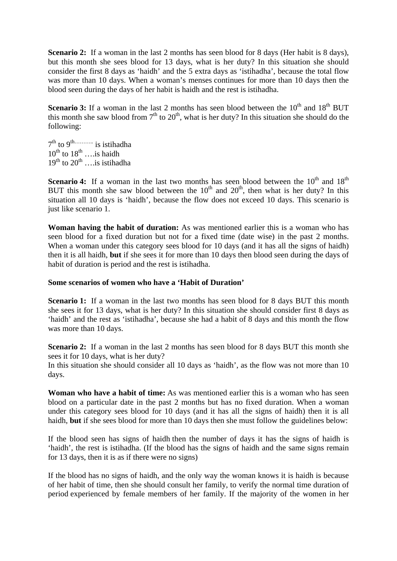**Scenario 2:** If a woman in the last 2 months has seen blood for 8 days (Her habit is 8 days), but this month she sees blood for 13 days, what is her duty? In this situation she should consider the first 8 days as 'haidh' and the 5 extra days as 'istihadha', because the total flow was more than 10 days. When a woman's menses continues for more than 10 days then the blood seen during the days of her habit is haidh and the rest is istihadha.

**Scenario 3:** If a woman in the last 2 months has seen blood between the  $10<sup>th</sup>$  and  $18<sup>th</sup>$  BUT this month she saw blood from  $7<sup>th</sup>$  to  $20<sup>th</sup>$ , what is her duty? In this situation she should do the following:

 $7<sup>th</sup>$  to  $9<sup>th</sup>$  is istihadha  $10^{th}$  to  $18^{th}$  …. is haidh  $19^{th}$  to  $20^{th}$  ….is istihadha

**Scenario 4:** If a woman in the last two months has seen blood between the 10<sup>th</sup> and 18<sup>th</sup> BUT this month she saw blood between the  $10<sup>th</sup>$  and  $20<sup>th</sup>$ , then what is her duty? In this situation all 10 days is 'haidh', because the flow does not exceed 10 days. This scenario is just like scenario 1.

**Woman having the habit of duration:** As was mentioned earlier this is a woman who has seen blood for a fixed duration but not for a fixed time (date wise) in the past 2 months. When a woman under this category sees blood for 10 days (and it has all the signs of haidh) then it is all haidh, **but** if she sees it for more than 10 days then blood seen during the days of habit of duration is period and the rest is istihadha.

#### **Some scenarios of women who have a 'Habit of Duration'**

**Scenario 1:** If a woman in the last two months has seen blood for 8 days BUT this month she sees it for 13 days, what is her duty? In this situation she should consider first 8 days as 'haidh' and the rest as 'istihadha', because she had a habit of 8 days and this month the flow was more than 10 days.

**Scenario 2:** If a woman in the last 2 months has seen blood for 8 days BUT this month she sees it for 10 days, what is her duty?

In this situation she should consider all 10 days as 'haidh', as the flow was not more than 10 days.

**Woman who have a habit of time:** As was mentioned earlier this is a woman who has seen blood on a particular date in the past 2 months but has no fixed duration. When a woman under this category sees blood for 10 days (and it has all the signs of haidh) then it is all haidh, **but** if she sees blood for more than 10 days then she must follow the guidelines below:

If the blood seen has signs of haidh then the number of days it has the signs of haidh is 'haidh', the rest is istihadha. (If the blood has the signs of haidh and the same signs remain for 13 days, then it is as if there were no signs)

If the blood has no signs of haidh, and the only way the woman knows it is haidh is because of her habit of time, then she should consult her family, to verify the normal time duration of period experienced by female members of her family. If the majority of the women in her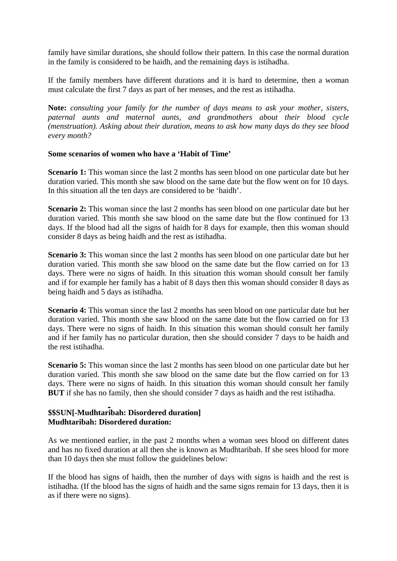family have similar durations, she should follow their pattern. In this case the normal duration in the family is considered to be haidh, and the remaining days is istihadha.

If the family members have different durations and it is hard to determine, then a woman must calculate the first 7 days as part of her menses, and the rest as istihadha.

**Note:** *consulting your family for the number of days means to ask your mother, sisters, paternal aunts and maternal aunts, and grandmothers about their blood cycle (menstruation). Asking about their duration, means to ask how many days do they see blood every month?* 

#### **Some scenarios of women who have a 'Habit of Time'**

**Scenario 1:** This woman since the last 2 months has seen blood on one particular date but her duration varied. This month she saw blood on the same date but the flow went on for 10 days. In this situation all the ten days are considered to be 'haidh'.

**Scenario 2:** This woman since the last 2 months has seen blood on one particular date but her duration varied. This month she saw blood on the same date but the flow continued for 13 days. If the blood had all the signs of haidh for 8 days for example, then this woman should consider 8 days as being haidh and the rest as istihadha.

**Scenario 3:** This woman since the last 2 months has seen blood on one particular date but her duration varied. This month she saw blood on the same date but the flow carried on for 13 days. There were no signs of haidh. In this situation this woman should consult her family and if for example her family has a habit of 8 days then this woman should consider 8 days as being haidh and 5 days as istihadha.

**Scenario 4:** This woman since the last 2 months has seen blood on one particular date but her duration varied. This month she saw blood on the same date but the flow carried on for 13 days. There were no signs of haidh. In this situation this woman should consult her family and if her family has no particular duration, then she should consider 7 days to be haidh and the rest istihadha.

**Scenario 5:** This woman since the last 2 months has seen blood on one particular date but her duration varied. This month she saw blood on the same date but the flow carried on for 13 days. There were no signs of haidh. In this situation this woman should consult her family **BUT** if she has no family, then she should consider 7 days as haidh and the rest istihadha.

#### **\$\$SUN[-Mudhtaribah: Disordered duration] Mudhtaribah: Disordered duration:**

As we mentioned earlier, in the past 2 months when a woman sees blood on different dates and has no fixed duration at all then she is known as Mudhtaribah. If she sees blood for more than 10 days then she must follow the guidelines below:

If the blood has signs of haidh, then the number of days with signs is haidh and the rest is istihadha. (If the blood has the signs of haidh and the same signs remain for 13 days, then it is as if there were no signs).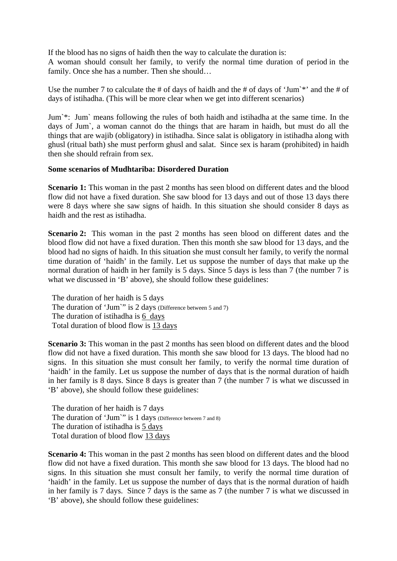If the blood has no signs of haidh then the way to calculate the duration is:

A woman should consult her family, to verify the normal time duration of period in the family. Once she has a number. Then she should…

Use the number 7 to calculate the # of days of haidh and the # of days of 'Jum'\*' and the # of days of istihadha. (This will be more clear when we get into different scenarios)

Jum`\*: Jum` means following the rules of both haidh and istihadha at the same time. In the days of Jum`, a woman cannot do the things that are haram in haidh, but must do all the things that are wajib (obligatory) in istihadha. Since salat is obligatory in istihadha along with ghusl (ritual bath) she must perform ghusl and salat. Since sex is haram (prohibited) in haidh then she should refrain from sex.

#### **Some scenarios of Mudhtariba: Disordered Duration**

**Scenario 1:** This woman in the past 2 months has seen blood on different dates and the blood flow did not have a fixed duration. She saw blood for 13 days and out of those 13 days there were 8 days where she saw signs of haidh. In this situation she should consider 8 days as haidh and the rest as istihadha.

**Scenario 2:** This woman in the past 2 months has seen blood on different dates and the blood flow did not have a fixed duration. Then this month she saw blood for 13 days, and the blood had no signs of haidh. In this situation she must consult her family, to verify the normal time duration of 'haidh' in the family. Let us suppose the number of days that make up the normal duration of haidh in her family is 5 days. Since 5 days is less than 7 (the number 7 is what we discussed in 'B' above), she should follow these guidelines:

 The duration of her haidh is 5 days The duration of 'Jum'" is 2 days (Difference between 5 and 7) The duration of istihadha is 6 days Total duration of blood flow is 13 days

**Scenario 3:** This woman in the past 2 months has seen blood on different dates and the blood flow did not have a fixed duration. This month she saw blood for 13 days. The blood had no signs. In this situation she must consult her family, to verify the normal time duration of 'haidh' in the family. Let us suppose the number of days that is the normal duration of haidh in her family is 8 days. Since 8 days is greater than 7 (the number 7 is what we discussed in 'B' above), she should follow these guidelines:

 The duration of her haidh is 7 days The duration of 'Jum'" is 1 days (Difference between 7 and 8) The duration of istihadha is 5 days Total duration of blood flow 13 days

**Scenario 4:** This woman in the past 2 months has seen blood on different dates and the blood flow did not have a fixed duration. This month she saw blood for 13 days. The blood had no signs. In this situation she must consult her family, to verify the normal time duration of 'haidh' in the family. Let us suppose the number of days that is the normal duration of haidh in her family is 7 days. Since 7 days is the same as 7 (the number 7 is what we discussed in 'B' above), she should follow these guidelines: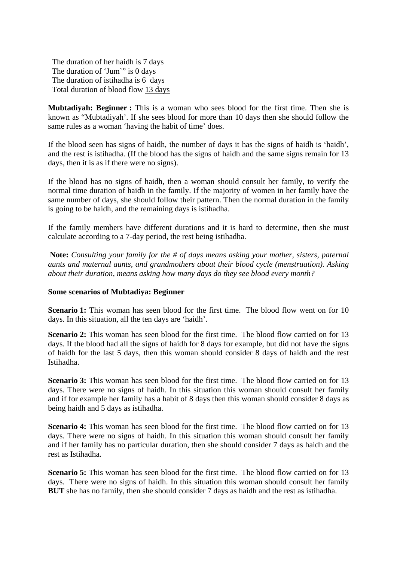The duration of her haidh is 7 days The duration of 'Jum'" is 0 days The duration of istihadha is 6 days Total duration of blood flow 13 days

**Mubtadiyah: Beginner :** This is a woman who sees blood for the first time. Then she is known as "Mubtadiyah'. If she sees blood for more than 10 days then she should follow the same rules as a woman 'having the habit of time' does.

If the blood seen has signs of haidh, the number of days it has the signs of haidh is 'haidh', and the rest is istihadha. (If the blood has the signs of haidh and the same signs remain for 13 days, then it is as if there were no signs).

If the blood has no signs of haidh, then a woman should consult her family, to verify the normal time duration of haidh in the family. If the majority of women in her family have the same number of days, she should follow their pattern. Then the normal duration in the family is going to be haidh, and the remaining days is istihadha.

If the family members have different durations and it is hard to determine, then she must calculate according to a 7-day period, the rest being istihadha.

**Note:** *Consulting your family for the # of days means asking your mother, sisters, paternal aunts and maternal aunts, and grandmothers about their blood cycle (menstruation). Asking about their duration, means asking how many days do they see blood every month?* 

#### **Some scenarios of Mubtadiya: Beginner**

**Scenario 1:** This woman has seen blood for the first time. The blood flow went on for 10 days. In this situation, all the ten days are 'haidh'.

**Scenario 2:** This woman has seen blood for the first time. The blood flow carried on for 13 days. If the blood had all the signs of haidh for 8 days for example, but did not have the signs of haidh for the last 5 days, then this woman should consider 8 days of haidh and the rest Istihadha.

**Scenario 3:** This woman has seen blood for the first time. The blood flow carried on for 13 days. There were no signs of haidh. In this situation this woman should consult her family and if for example her family has a habit of 8 days then this woman should consider 8 days as being haidh and 5 days as istihadha.

**Scenario 4:** This woman has seen blood for the first time. The blood flow carried on for 13 days. There were no signs of haidh. In this situation this woman should consult her family and if her family has no particular duration, then she should consider 7 days as haidh and the rest as Istihadha.

**Scenario 5:** This woman has seen blood for the first time. The blood flow carried on for 13 days. There were no signs of haidh. In this situation this woman should consult her family **BUT** she has no family, then she should consider 7 days as haidh and the rest as istihadha.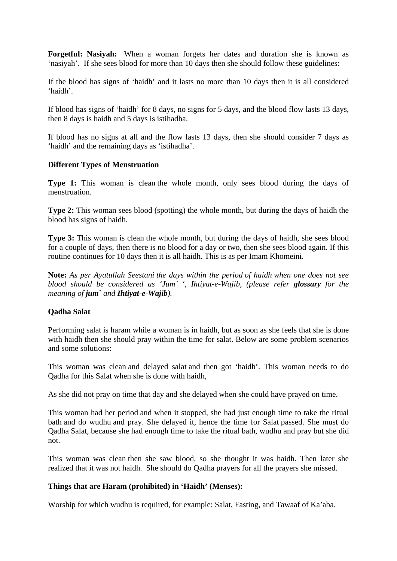**Forgetful: Nasiyah:** When a woman forgets her dates and duration she is known as 'nasiyah'. If she sees blood for more than 10 days then she should follow these guidelines:

If the blood has signs of 'haidh' and it lasts no more than 10 days then it is all considered 'haidh'.

If blood has signs of 'haidh' for 8 days, no signs for 5 days, and the blood flow lasts 13 days, then 8 days is haidh and 5 days is istihadha.

If blood has no signs at all and the flow lasts 13 days, then she should consider 7 days as 'haidh' and the remaining days as 'istihadha'.

#### **Different Types of Menstruation**

**Type 1:** This woman is clean the whole month, only sees blood during the days of menstruation.

**Type 2:** This woman sees blood (spotting) the whole month, but during the days of haidh the blood has signs of haidh.

**Type 3:** This woman is clean the whole month, but during the days of haidh, she sees blood for a couple of days, then there is no blood for a day or two, then she sees blood again. If this routine continues for 10 days then it is all haidh. This is as per Imam Khomeini.

**Note:** *As per Ayatullah Seestani the days within the period of haidh when one does not see blood should be considered as 'Jum''*, *Ihtiyat-e-Wajib, (please refer glossary for the meaning of jum` and Ihtiyat-e-Wajib).* 

#### **Qadha Salat**

Performing salat is haram while a woman is in haidh, but as soon as she feels that she is done with haidh then she should pray within the time for salat. Below are some problem scenarios and some solutions:

This woman was clean and delayed salat and then got 'haidh'. This woman needs to do Qadha for this Salat when she is done with haidh,

As she did not pray on time that day and she delayed when she could have prayed on time.

This woman had her period and when it stopped, she had just enough time to take the ritual bath and do wudhu and pray. She delayed it, hence the time for Salat passed. She must do Qadha Salat, because she had enough time to take the ritual bath, wudhu and pray but she did not.

This woman was clean then she saw blood, so she thought it was haidh. Then later she realized that it was not haidh. She should do Qadha prayers for all the prayers she missed.

#### **Things that are Haram (prohibited) in 'Haidh' (Menses):**

Worship for which wudhu is required, for example: Salat, Fasting, and Tawaaf of Ka'aba.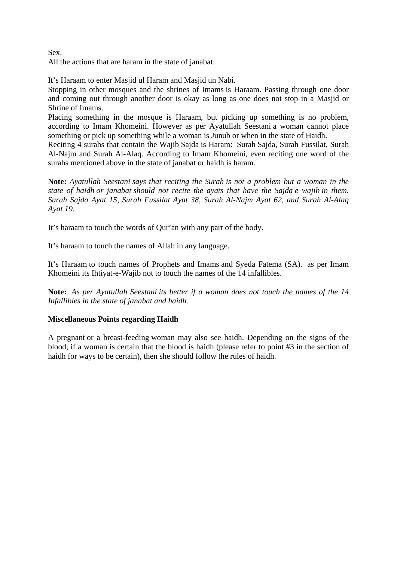Sex. All the actions that are haram in the state of janabat:

It's Haraam to enter Masjid ul Haram and Masjid un Nabi.

Stopping in other mosques and the shrines of Imams is Haraam. Passing through one door and coming out through another door is okay as long as one does not stop in a Masjid or Shrine of Imams.

Placing something in the mosque is Haraam, but picking up something is no problem, according to Imam Khomeini. However as per Ayatullah Seestani a woman cannot place something or pick up something while a woman is Junub or when in the state of Haidh.

Reciting 4 surahs that contain the Wajib Sajda is Haram: Surah Sajda, Surah Fussilat, Surah Al-Najm and Surah Al-Alaq. According to Imam Khomeini, even reciting one word of the surahs mentioned above in the state of janabat or haidh is haram.

**Note:** *Ayatullah Seestani says that reciting the Surah is not a problem but a woman in the state of haidh or janabat should not recite the ayats that have the Sajda e wajib in them. Surah Sajda Ayat 15, Surah Fussilat Ayat 38, Surah Al-Najm Ayat 62, and Surah Al-Alaq Ayat 19.*

It's haraam to touch the words of Qur'an with any part of the body.

It's haraam to touch the names of Allah in any language.

It's Haraam to touch names of Prophets and Imams and Syeda Fatema (SA). as per Imam Khomeini its Ihtiyat-e-Wajib not to touch the names of the 14 infallibles.

**Note:** *As per Ayatullah Seestani its better if a woman does not touch the names of the 14 Infallibles in the state of janabat and haidh.* 

# **Miscellaneous Points regarding Haidh**

A pregnant or a breast-feeding woman may also see haidh. Depending on the signs of the blood, if a woman is certain that the blood is haidh (please refer to point #3 in the section of haidh for ways to be certain), then she should follow the rules of haidh.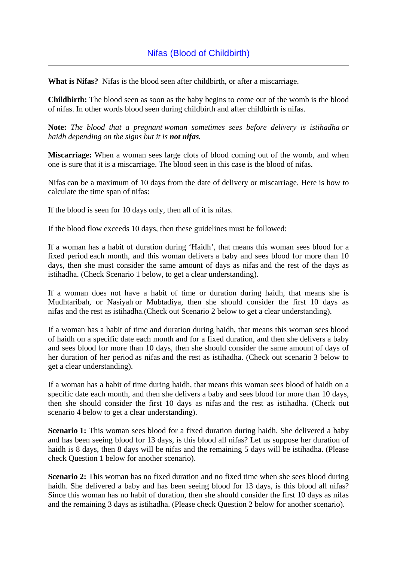**What is Nifas?** Nifas is the blood seen after childbirth, or after a miscarriage.

**Childbirth:** The blood seen as soon as the baby begins to come out of the womb is the blood of nifas. In other words blood seen during childbirth and after childbirth is nifas.

**Note:** *The blood that a pregnant woman sometimes sees before delivery is istihadha or haidh depending on the signs but it is not nifas.*

**Miscarriage:** When a woman sees large clots of blood coming out of the womb, and when one is sure that it is a miscarriage. The blood seen in this case is the blood of nifas.

Nifas can be a maximum of 10 days from the date of delivery or miscarriage. Here is how to calculate the time span of nifas:

If the blood is seen for 10 days only, then all of it is nifas.

If the blood flow exceeds 10 days, then these guidelines must be followed:

If a woman has a habit of duration during 'Haidh', that means this woman sees blood for a fixed period each month, and this woman delivers a baby and sees blood for more than 10 days, then she must consider the same amount of days as nifas and the rest of the days as istihadha. (Check Scenario 1 below, to get a clear understanding).

If a woman does not have a habit of time or duration during haidh, that means she is Mudhtaribah, or Nasiyah or Mubtadiya, then she should consider the first 10 days as nifas and the rest as istihadha.(Check out Scenario 2 below to get a clear understanding).

If a woman has a habit of time and duration during haidh, that means this woman sees blood of haidh on a specific date each month and for a fixed duration, and then she delivers a baby and sees blood for more than 10 days, then she should consider the same amount of days of her duration of her period as nifas and the rest as istihadha. (Check out scenario 3 below to get a clear understanding).

If a woman has a habit of time during haidh, that means this woman sees blood of haidh on a specific date each month, and then she delivers a baby and sees blood for more than 10 days, then she should consider the first 10 days as nifas and the rest as istihadha. (Check out scenario 4 below to get a clear understanding).

**Scenario 1:** This woman sees blood for a fixed duration during haidh. She delivered a baby and has been seeing blood for 13 days, is this blood all nifas? Let us suppose her duration of haidh is 8 days, then 8 days will be nifas and the remaining 5 days will be istihadha. (Please check Question 1 below for another scenario).

**Scenario 2:** This woman has no fixed duration and no fixed time when she sees blood during haidh. She delivered a baby and has been seeing blood for 13 days, is this blood all nifas? Since this woman has no habit of duration, then she should consider the first 10 days as nifas and the remaining 3 days as istihadha. (Please check Question 2 below for another scenario).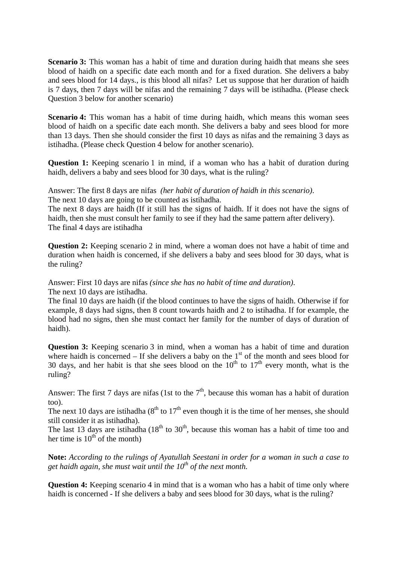**Scenario 3:** This woman has a habit of time and duration during haidh that means she sees blood of haidh on a specific date each month and for a fixed duration. She delivers a baby and sees blood for 14 days., is this blood all nifas? Let us suppose that her duration of haidh is 7 days, then 7 days will be nifas and the remaining 7 days will be istihadha. (Please check Question 3 below for another scenario)

**Scenario 4:** This woman has a habit of time during haidh, which means this woman sees blood of haidh on a specific date each month. She delivers a baby and sees blood for more than 13 days. Then she should consider the first 10 days as nifas and the remaining 3 days as istihadha. (Please check Question 4 below for another scenario).

**Question 1:** Keeping scenario 1 in mind, if a woman who has a habit of duration during haidh, delivers a baby and sees blood for 30 days, what is the ruling?

Answer: The first 8 days are nifas *(her habit of duration of haidh in this scenario)*. The next 10 days are going to be counted as istihadha.

The next 8 days are haidh (If it still has the signs of haidh. If it does not have the signs of haidh, then she must consult her family to see if they had the same pattern after delivery). The final 4 days are istihadha

**Question 2:** Keeping scenario 2 in mind, where a woman does not have a habit of time and duration when haidh is concerned, if she delivers a baby and sees blood for 30 days, what is the ruling?

Answer: First 10 days are nifas *(since she has no habit of time and duration)*. The next 10 days are istihadha.

The final 10 days are haidh (if the blood continues to have the signs of haidh. Otherwise if for example, 8 days had signs, then 8 count towards haidh and 2 to istihadha. If for example, the blood had no signs, then she must contact her family for the number of days of duration of haidh).

**Question 3:** Keeping scenario 3 in mind, when a woman has a habit of time and duration where haidh is concerned – If she delivers a baby on the  $1<sup>st</sup>$  of the month and sees blood for 30 days, and her habit is that she sees blood on the  $10^{th}$  to  $17^{th}$  every month, what is the ruling?

Answer: The first 7 days are nifas (1st to the  $7<sup>th</sup>$ , because this woman has a habit of duration too).

The next 10 days are istihadha ( $8<sup>th</sup>$  to  $17<sup>th</sup>$  even though it is the time of her menses, she should still consider it as istihadha).

The last 13 days are istihadha  $(18<sup>th</sup>$  to  $30<sup>th</sup>$ , because this woman has a habit of time too and her time is  $10^{th}$  of the month)

**Note:** *According to the rulings of Ayatullah Seestani in order for a woman in such a case to get haidh again, she must wait until the*  $10^{th}$  *of the next month.* 

**Question 4:** Keeping scenario 4 in mind that is a woman who has a habit of time only where haidh is concerned - If she delivers a baby and sees blood for 30 days, what is the ruling?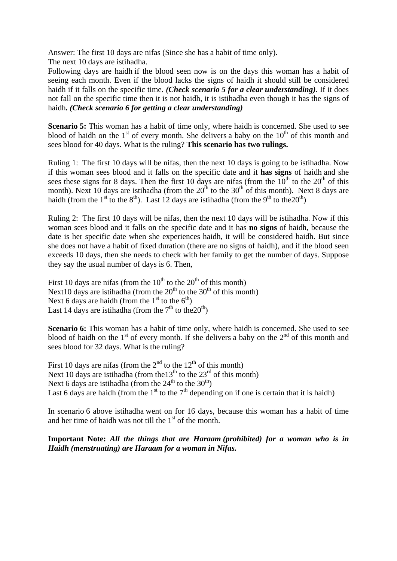Answer: The first 10 days are nifas (Since she has a habit of time only). The next 10 days are istihadha.

Following days are haidh if the blood seen now is on the days this woman has a habit of seeing each month. Even if the blood lacks the signs of haidh it should still be considered haidh if it falls on the specific time. *(Check scenario 5 for a clear understanding)*. If it does not fall on the specific time then it is not haidh, it is istihadha even though it has the signs of haidh*. (Check scenario 6 for getting a clear understanding)*

**Scenario 5:** This woman has a habit of time only, where haidh is concerned. She used to see blood of haidh on the  $1<sup>st</sup>$  of every month. She delivers a baby on the  $10<sup>th</sup>$  of this month and sees blood for 40 days. What is the ruling? **This scenario has two rulings.**

Ruling 1: The first 10 days will be nifas, then the next 10 days is going to be istihadha. Now if this woman sees blood and it falls on the specific date and it **has signs** of haidh and she sees these signs for 8 days. Then the first 10 days are nifas (from the  $10^{th}$  to the  $20^{th}$  of this month). Next 10 days are istihadha (from the  $20^{th}$  to the  $30^{th}$  of this month). Next 8 days are haidh (from the 1<sup>st</sup> to the 8<sup>th</sup>). Last 12 days are istihadha (from the 9<sup>th</sup> to the 20<sup>th</sup>)

Ruling 2: The first 10 days will be nifas, then the next 10 days will be istihadha. Now if this woman sees blood and it falls on the specific date and it has **no signs** of haidh, because the date is her specific date when she experiences haidh, it will be considered haidh. But since she does not have a habit of fixed duration (there are no signs of haidh), and if the blood seen exceeds 10 days, then she needs to check with her family to get the number of days. Suppose they say the usual number of days is 6. Then,

First 10 days are nifas (from the  $10^{th}$  to the  $20^{th}$  of this month) Next10 days are istihadha (from the  $20<sup>th</sup>$  to the 30<sup>th</sup> of this month) Next 6 days are haidh (from the  $1<sup>st</sup>$  to the  $6<sup>th</sup>$ ) Last 14 days are istihadha (from the  $7<sup>th</sup>$  to the  $20<sup>th</sup>$ )

**Scenario 6:** This woman has a habit of time only, where haidh is concerned. She used to see blood of haidh on the  $1<sup>st</sup>$  of every month. If she delivers a baby on the  $2<sup>nd</sup>$  of this month and sees blood for 32 days. What is the ruling?

First 10 days are nifas (from the  $2<sup>nd</sup>$  to the 12<sup>th</sup> of this month) Next 10 days are istihadha (from the  $13<sup>th</sup>$  to the  $23<sup>rd</sup>$  of this month) Next 6 days are istihadha (from the  $24<sup>th</sup>$  to the  $30<sup>th</sup>$ ) Last 6 days are haidh (from the 1<sup>st</sup> to the  $7<sup>th</sup>$  depending on if one is certain that it is haidh)

In scenario 6 above istihadha went on for 16 days, because this woman has a habit of time and her time of haidh was not till the  $1<sup>st</sup>$  of the month.

**Important Note:** *All the things that are Haraam (prohibited) for a woman who is in Haidh (menstruating) are Haraam for a woman in Nifas.*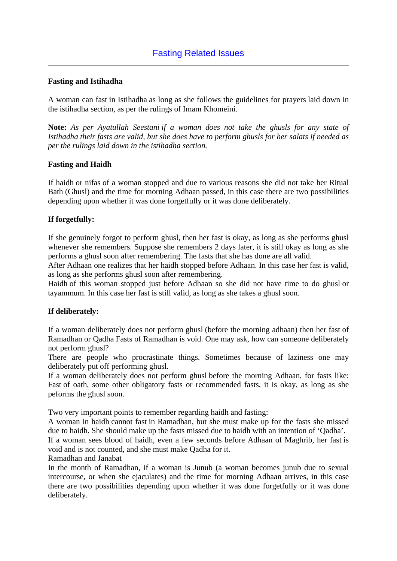# **Fasting and Istihadha**

A woman can fast in Istihadha as long as she follows the guidelines for prayers laid down in the istihadha section, as per the rulings of Imam Khomeini.

**Note:** *As per Ayatullah Seestani if a woman does not take the ghusls for any state of Istihadha their fasts are valid, but she does have to perform ghusls for her salats if needed as per the rulings laid down in the istihadha section.*

# **Fasting and Haidh**

If haidh or nifas of a woman stopped and due to various reasons she did not take her Ritual Bath (Ghusl) and the time for morning Adhaan passed, in this case there are two possibilities depending upon whether it was done forgetfully or it was done deliberately.

# **If forgetfully:**

If she genuinely forgot to perform ghusl, then her fast is okay, as long as she performs ghusl whenever she remembers. Suppose she remembers 2 days later, it is still okay as long as she performs a ghusl soon after remembering. The fasts that she has done are all valid.

After Adhaan one realizes that her haidh stopped before Adhaan. In this case her fast is valid, as long as she performs ghusl soon after remembering.

Haidh of this woman stopped just before Adhaan so she did not have time to do ghusl or tayammum. In this case her fast is still valid, as long as she takes a ghusl soon.

#### **If deliberately:**

If a woman deliberately does not perform ghusl (before the morning adhaan) then her fast of Ramadhan or Qadha Fasts of Ramadhan is void. One may ask, how can someone deliberately not perform ghusl?

There are people who procrastinate things. Sometimes because of laziness one may deliberately put off performing ghusl.

If a woman deliberately does not perform ghusl before the morning Adhaan, for fasts like: Fast of oath, some other obligatory fasts or recommended fasts, it is okay, as long as she peforms the ghusl soon.

Two very important points to remember regarding haidh and fasting:

A woman in haidh cannot fast in Ramadhan, but she must make up for the fasts she missed due to haidh. She should make up the fasts missed due to haidh with an intention of 'Qadha'.

If a woman sees blood of haidh, even a few seconds before Adhaan of Maghrib, her fast is void and is not counted, and she must make Qadha for it.

Ramadhan and Janabat

In the month of Ramadhan, if a woman is Junub (a woman becomes junub due to sexual intercourse, or when she ejaculates) and the time for morning Adhaan arrives, in this case there are two possibilities depending upon whether it was done forgetfully or it was done deliberately.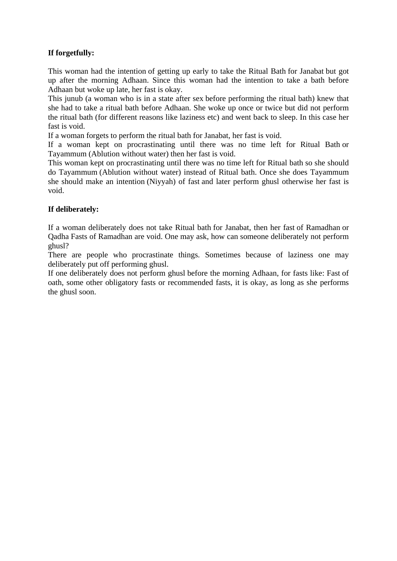# **If forgetfully:**

This woman had the intention of getting up early to take the Ritual Bath for Janabat but got up after the morning Adhaan. Since this woman had the intention to take a bath before Adhaan but woke up late, her fast is okay.

This junub (a woman who is in a state after sex before performing the ritual bath) knew that she had to take a ritual bath before Adhaan. She woke up once or twice but did not perform the ritual bath (for different reasons like laziness etc) and went back to sleep. In this case her fast is void.

If a woman forgets to perform the ritual bath for Janabat, her fast is void.

If a woman kept on procrastinating until there was no time left for Ritual Bath or Tayammum (Ablution without water) then her fast is void.

This woman kept on procrastinating until there was no time left for Ritual bath so she should do Tayammum (Ablution without water) instead of Ritual bath. Once she does Tayammum she should make an intention (Niyyah) of fast and later perform ghusl otherwise her fast is void.

# **If deliberately:**

If a woman deliberately does not take Ritual bath for Janabat, then her fast of Ramadhan or Qadha Fasts of Ramadhan are void. One may ask, how can someone deliberately not perform ghusl?

There are people who procrastinate things. Sometimes because of laziness one may deliberately put off performing ghusl.

If one deliberately does not perform ghusl before the morning Adhaan, for fasts like: Fast of oath, some other obligatory fasts or recommended fasts, it is okay, as long as she performs the ghusl soon.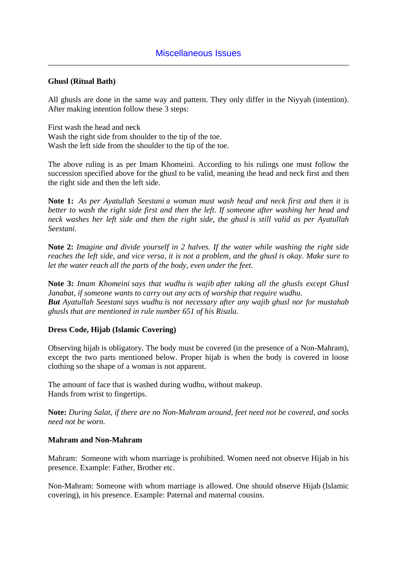# **Ghusl (Ritual Bath)**

All ghusls are done in the same way and pattern. They only differ in the Niyyah (intention). After making intention follow these 3 steps:

First wash the head and neck Wash the right side from shoulder to the tip of the toe. Wash the left side from the shoulder to the tip of the toe.

The above ruling is as per Imam Khomeini. According to his rulings one must follow the succession specified above for the ghusl to be valid, meaning the head and neck first and then the right side and then the left side.

**Note 1:** *As per Ayatullah Seestani a woman must wash head and neck first and then it is better to wash the right side first and then the left. If someone after washing her head and neck washes her left side and then the right side, the ghusl is still valid as per Ayatullah Seestani.*

**Note 2:** *Imagine and divide yourself in 2 halves. If the water while washing the right side reaches the left side, and vice versa, it is not a problem, and the ghusl is okay. Make sure to let the water reach all the parts of the body, even under the feet.*

**Note 3:** *Imam Khomeini says that wudhu is wajib after taking all the ghusls except Ghusl Janabat, if someone wants to carry out any acts of worship that require wudhu. But Ayatullah Seestani says wudhu is not necessary after any wajib ghusl nor for mustahab ghusls that are mentioned in rule number 651 of his Risala.*

#### **Dress Code, Hijab (Islamic Covering)**

Observing hijab is obligatory. The body must be covered (in the presence of a Non-Mahram), except the two parts mentioned below. Proper hijab is when the body is covered in loose clothing so the shape of a woman is not apparent.

The amount of face that is washed during wudhu, without makeup. Hands from wrist to fingertips.

**Note:** *During Salat, if there are no Non-Mahram around, feet need not be covered, and socks need not be worn.*

#### **Mahram and Non-Mahram**

Mahram: Someone with whom marriage is prohibited. Women need not observe Hijab in his presence. Example: Father, Brother etc.

Non-Mahram: Someone with whom marriage is allowed. One should observe Hijab (Islamic covering), in his presence. Example: Paternal and maternal cousins.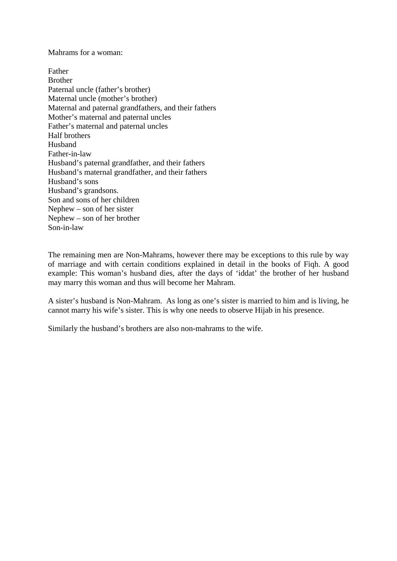Mahrams for a woman:

Father Brother Paternal uncle (father's brother) Maternal uncle (mother's brother) Maternal and paternal grandfathers, and their fathers Mother's maternal and paternal uncles Father's maternal and paternal uncles Half brothers Husband Father-in-law Husband's paternal grandfather, and their fathers Husband's maternal grandfather, and their fathers Husband's sons Husband's grandsons. Son and sons of her children Nephew – son of her sister Nephew – son of her brother Son-in-law

The remaining men are Non-Mahrams, however there may be exceptions to this rule by way of marriage and with certain conditions explained in detail in the books of Fiqh. A good example: This woman's husband dies, after the days of 'iddat' the brother of her husband may marry this woman and thus will become her Mahram.

A sister's husband is Non-Mahram. As long as one's sister is married to him and is living, he cannot marry his wife's sister. This is why one needs to observe Hijab in his presence.

Similarly the husband's brothers are also non-mahrams to the wife.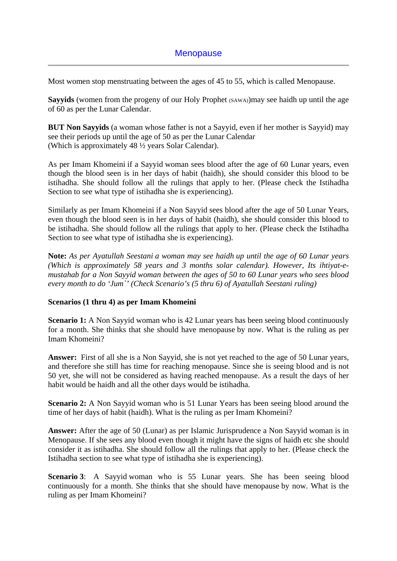Most women stop menstruating between the ages of 45 to 55, which is called Menopause.

Sayyids (women from the progeny of our Holy Prophet (SAWA))may see haidh up until the age of 60 as per the Lunar Calendar.

**BUT Non Sayyids** (a woman whose father is not a Sayyid, even if her mother is Sayyid) may see their periods up until the age of 50 as per the Lunar Calendar (Which is approximately 48 ½ years Solar Calendar).

As per Imam Khomeini if a Sayyid woman sees blood after the age of 60 Lunar years, even though the blood seen is in her days of habit (haidh), she should consider this blood to be istihadha. She should follow all the rulings that apply to her. (Please check the Istihadha Section to see what type of istihadha she is experiencing).

Similarly as per Imam Khomeini if a Non Sayyid sees blood after the age of 50 Lunar Years, even though the blood seen is in her days of habit (haidh), she should consider this blood to be istihadha. She should follow all the rulings that apply to her. (Please check the Istihadha Section to see what type of istihadha she is experiencing).

**Note:** *As per Ayatullah Seestani a woman may see haidh up until the age of 60 Lunar years (Which is approximately 58 years and 3 months solar calendar). However, Its ihtiyat-emustahab for a Non Sayyid woman between the ages of 50 to 60 Lunar years who sees blood every month to do 'Jum`' (Check Scenario's (5 thru 6) of Ayatullah Seestani ruling)*

# **Scenarios (1 thru 4) as per Imam Khomeini**

**Scenario 1:** A Non Sayyid woman who is 42 Lunar years has been seeing blood continuously for a month. She thinks that she should have menopause by now. What is the ruling as per Imam Khomeini?

**Answer:** First of all she is a Non Sayyid, she is not yet reached to the age of 50 Lunar years, and therefore she still has time for reaching menopause. Since she is seeing blood and is not 50 yet, she will not be considered as having reached menopause. As a result the days of her habit would be haidh and all the other days would be istihadha.

**Scenario 2:** A Non Sayyid woman who is 51 Lunar Years has been seeing blood around the time of her days of habit (haidh). What is the ruling as per Imam Khomeini?

**Answer:** After the age of 50 (Lunar) as per Islamic Jurisprudence a Non Sayyid woman is in Menopause. If she sees any blood even though it might have the signs of haidh etc she should consider it as istihadha. She should follow all the rulings that apply to her. (Please check the Istihadha section to see what type of istihadha she is experiencing).

**Scenario 3**: A Sayyid woman who is 55 Lunar years. She has been seeing blood continuously for a month. She thinks that she should have menopause by now. What is the ruling as per Imam Khomeini?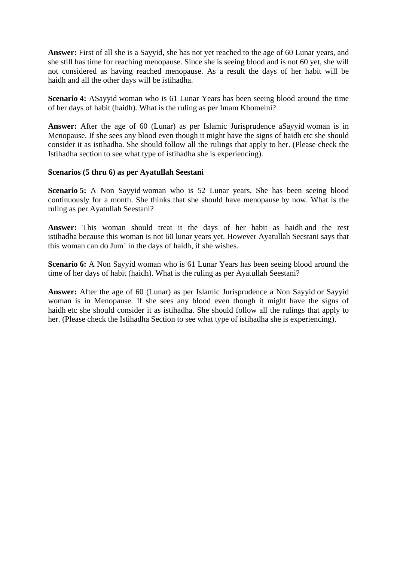**Answer:** First of all she is a Sayyid, she has not yet reached to the age of 60 Lunar years, and she still has time for reaching menopause. Since she is seeing blood and is not 60 yet, she will not considered as having reached menopause. As a result the days of her habit will be haidh and all the other days will be istihadha.

**Scenario 4:** ASayyid woman who is 61 Lunar Years has been seeing blood around the time of her days of habit (haidh). What is the ruling as per Imam Khomeini?

**Answer:** After the age of 60 (Lunar) as per Islamic Jurisprudence aSayyid woman is in Menopause. If she sees any blood even though it might have the signs of haidh etc she should consider it as istihadha. She should follow all the rulings that apply to her. (Please check the Istihadha section to see what type of istihadha she is experiencing).

#### **Scenarios (5 thru 6) as per Ayatullah Seestani**

**Scenario 5:** A Non Sayyid woman who is 52 Lunar years. She has been seeing blood continuously for a month. She thinks that she should have menopause by now. What is the ruling as per Ayatullah Seestani?

**Answer:** This woman should treat it the days of her habit as haidh and the rest istihadha because this woman is not 60 lunar years yet. However Ayatullah Seestani says that this woman can do Jum` in the days of haidh, if she wishes.

**Scenario 6:** A Non Sayyid woman who is 61 Lunar Years has been seeing blood around the time of her days of habit (haidh). What is the ruling as per Ayatullah Seestani?

**Answer:** After the age of 60 (Lunar) as per Islamic Jurisprudence a Non Sayyid or Sayyid woman is in Menopause. If she sees any blood even though it might have the signs of haidh etc she should consider it as istihadha. She should follow all the rulings that apply to her. (Please check the Istihadha Section to see what type of istihadha she is experiencing).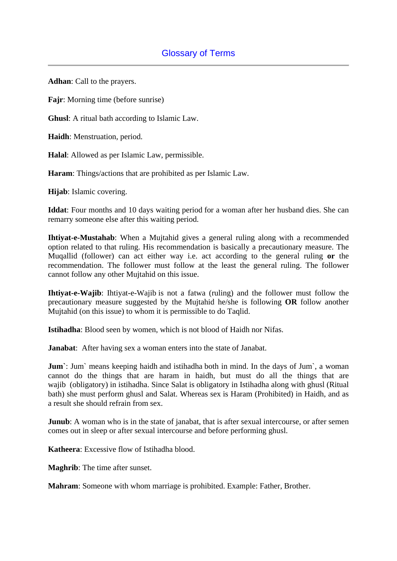**Adhan**: Call to the prayers.

**Fajr**: Morning time (before sunrise)

**Ghusl**: A ritual bath according to Islamic Law.

**Haidh**: Menstruation, period.

**Halal**: Allowed as per Islamic Law, permissible.

**Haram**: Things/actions that are prohibited as per Islamic Law.

**Hijab**: Islamic covering.

**Iddat**: Four months and 10 days waiting period for a woman after her husband dies. She can remarry someone else after this waiting period.

**Ihtiyat-e-Mustahab**: When a Mujtahid gives a general ruling along with a recommended option related to that ruling. His recommendation is basically a precautionary measure. The Muqallid (follower) can act either way i.e. act according to the general ruling **or** the recommendation. The follower must follow at the least the general ruling. The follower cannot follow any other Mujtahid on this issue.

**Ihtiyat-e-Wajib**: Ihtiyat-e-Wajib is not a fatwa (ruling) and the follower must follow the precautionary measure suggested by the Mujtahid he/she is following **OR** follow another Mujtahid (on this issue) to whom it is permissible to do Taqlid.

**Istihadha**: Blood seen by women, which is not blood of Haidh nor Nifas.

**Janabat:** After having sex a woman enters into the state of Janabat.

**Jum**: Jum means keeping haidh and istihadha both in mind. In the days of Jum, a woman cannot do the things that are haram in haidh, but must do all the things that are wajib (obligatory) in istihadha. Since Salat is obligatory in Istihadha along with ghusl (Ritual bath) she must perform ghusl and Salat. Whereas sex is Haram (Prohibited) in Haidh, and as a result she should refrain from sex.

**Junub**: A woman who is in the state of janabat, that is after sexual intercourse, or after semen comes out in sleep or after sexual intercourse and before performing ghusl.

**Katheera**: Excessive flow of Istihadha blood.

**Maghrib**: The time after sunset.

**Mahram**: Someone with whom marriage is prohibited. Example: Father, Brother.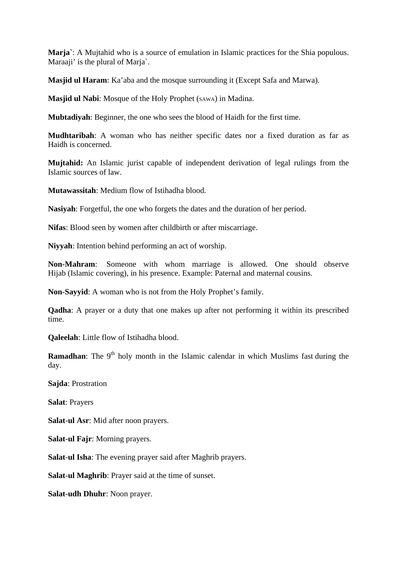**Marja`**: A Mujtahid who is a source of emulation in Islamic practices for the Shia populous. Maraaji' is the plural of Marja`.

**Masjid ul Haram**: Ka'aba and the mosque surrounding it (Except Safa and Marwa).

**Masjid ul Nabi**: Mosque of the Holy Prophet (SAWA) in Madina.

**Mubtadiyah**: Beginner, the one who sees the blood of Haidh for the first time.

**Mudhtaribah**: A woman who has neither specific dates nor a fixed duration as far as Haidh is concerned.

**Mujtahid:** An Islamic jurist capable of independent derivation of legal rulings from the Islamic sources of law.

**Mutawassitah**: Medium flow of Istihadha blood.

**Nasiyah**: Forgetful, the one who forgets the dates and the duration of her period.

**Nifas**: Blood seen by women after childbirth or after miscarriage.

**Niyyah**: Intention behind performing an act of worship.

**Non**-**Mahram**: Someone with whom marriage is allowed. One should observe Hijab (Islamic covering), in his presence. Example: Paternal and maternal cousins.

**Non**-**Sayyid**: A woman who is not from the Holy Prophet's family.

**Qadha**: A prayer or a duty that one makes up after not performing it within its prescribed time.

**Qaleelah**: Little flow of Istihadha blood.

**Ramadhan**: The 9<sup>th</sup> holy month in the Islamic calendar in which Muslims fast during the day.

**Sajda**: Prostration

**Salat**: Prayers

**Salat**-**ul Asr**: Mid after noon prayers.

**Salat**-**ul Fajr**: Morning prayers.

**Salat**-**ul Isha**: The evening prayer said after Maghrib prayers.

**Salat**-**ul Maghrib**: Prayer said at the time of sunset.

**Salat**-**udh Dhuhr**: Noon prayer.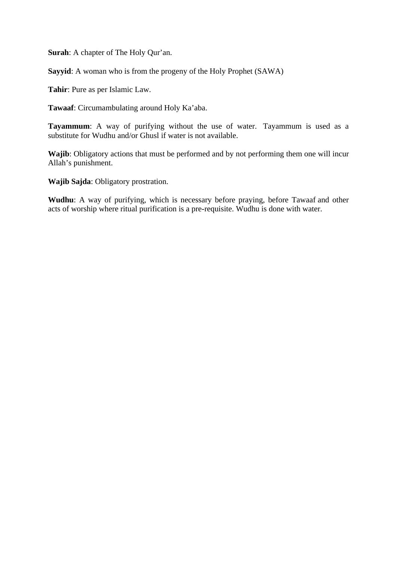**Surah**: A chapter of The Holy Qur'an.

**Sayyid**: A woman who is from the progeny of the Holy Prophet (SAWA)

**Tahir**: Pure as per Islamic Law.

**Tawaaf**: Circumambulating around Holy Ka'aba.

**Tayammum**: A way of purifying without the use of water. Tayammum is used as a substitute for Wudhu and/or Ghusl if water is not available.

**Wajib**: Obligatory actions that must be performed and by not performing them one will incur Allah's punishment.

**Wajib Sajda**: Obligatory prostration.

**Wudhu**: A way of purifying, which is necessary before praying, before Tawaaf and other acts of worship where ritual purification is a pre-requisite. Wudhu is done with water.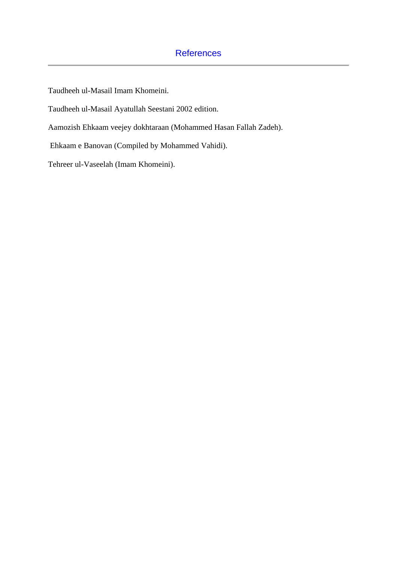# **References**

Taudheeh ul-Masail Imam Khomeini.

Taudheeh ul-Masail Ayatullah Seestani 2002 edition.

Aamozish Ehkaam veejey dokhtaraan (Mohammed Hasan Fallah Zadeh).

Ehkaam e Banovan (Compiled by Mohammed Vahidi).

Tehreer ul-Vaseelah (Imam Khomeini).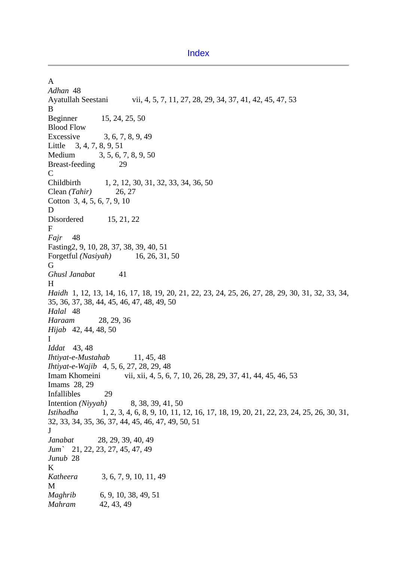Index

A *Adhan* 48 Ayatullah Seestani vii, 4, 5, 7, 11, 27, 28, 29, 34, 37, 41, 42, 45, 47, 53 B Beginner 15, 24, 25, 50 Blood Flow Excessive 3, 6, 7, 8, 9, 49 Little 3, 4, 7, 8, 9, 51 Medium 3, 5, 6, 7, 8, 9, 50 Breast-feeding 29  $\mathcal{C}$ Childbirth 1, 2, 12, 30, 31, 32, 33, 34, 36, 50 Clean *(Tahir)* 26, 27 Cotton 3, 4, 5, 6, 7, 9, 10 D Disordered 15, 21, 22 F *Fajr* 48 Fasting2, 9, 10, 28, 37, 38, 39, 40, 51 Forgetful *(Nasiyah)* 16, 26, 31, 50 G *Ghusl Janabat* 41 H *Haidh* 1, 12, 13, 14, 16, 17, 18, 19, 20, 21, 22, 23, 24, 25, 26, 27, 28, 29, 30, 31, 32, 33, 34, 35, 36, 37, 38, 44, 45, 46, 47, 48, 49, 50 *Halal* 48 *Haraam* 28, 29, 36 *Hijab* 42, 44, 48, 50 I *Iddat* 43, 48 *Ihtiyat-e-Mustahab* 11, 45, 48 *Ihtiyat-e-Wajib* 4, 5, 6, 27, 28, 29, 48 Imam Khomeini vii, xii, 4, 5, 6, 7, 10, 26, 28, 29, 37, 41, 44, 45, 46, 53 Imams 28, 29 Infallibles 29 Intention *(Niyyah)* 8, 38, 39, 41, 50 *Istihadha* 1, 2, 3, 4, 6, 8, 9, 10, 11, 12, 16, 17, 18, 19, 20, 21, 22, 23, 24, 25, 26, 30, 31, 32, 33, 34, 35, 36, 37, 44, 45, 46, 47, 49, 50, 51 J *Janabat* 28, 29, 39, 40, 49 *Jum`* 21, 22, 23, 27, 45, 47, 49 *Junub* 28 K *Katheera* 3, 6, 7, 9, 10, 11, 49 M *Maghrib* 6, 9, 10, 38, 49, 51 *Mahram* 42, 43, 49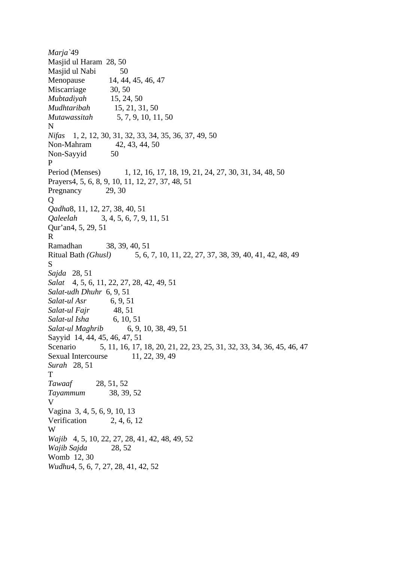*Marja`*49 Masjid ul Haram 28, 50 Masjid ul Nabi 50 Menopause 14, 44, 45, 46, 47 Miscarriage 30, 50 *Mubtadiyah* 15, 24, 50 *Mudhtaribah* 15, 21, 31, 50 *Mutawassitah* 5, 7, 9, 10, 11, 50 N *Nifas* 1, 2, 12, 30, 31, 32, 33, 34, 35, 36, 37, 49, 50 Non-Mahram 42, 43, 44, 50 Non-Sayyid 50 P Period (Menses) 1, 12, 16, 17, 18, 19, 21, 24, 27, 30, 31, 34, 48, 50 Prayers4, 5, 6, 8, 9, 10, 11, 12, 27, 37, 48, 51 Pregnancy 29, 30  $\overline{O}$ *Qadha*8, 11, 12, 27, 38, 40, 51 *Qaleelah* 3, 4, 5, 6, 7, 9, 11, 51 Qur'an4, 5, 29, 51 R Ramadhan 38, 39, 40, 51 Ritual Bath *(Ghusl)* 5, 6, 7, 10, 11, 22, 27, 37, 38, 39, 40, 41, 42, 48, 49 S *Sajda* 28, 51 *Salat* 4, 5, 6, 11, 22, 27, 28, 42, 49, 51 *Salat-udh Dhuhr* 6, 9, 51 *Salat-ul Asr* 6, 9, 51 *Salat-ul Fajr* 48, 51 *Salat-ul Isha* 6, 10, 51 *Salat-ul Maghrib* 6, 9, 10, 38, 49, 51 Sayyid 14, 44, 45, 46, 47, 51 Scenario 5, 11, 16, 17, 18, 20, 21, 22, 23, 25, 31, 32, 33, 34, 36, 45, 46, 47 Sexual Intercourse 11, 22, 39, 49 *Surah* 28, 51 T *Tawaaf* 28, 51, 52 *Tayammum* 38, 39, 52 V Vagina 3, 4, 5, 6, 9, 10, 13 Verification 2, 4, 6, 12 W *Wajib* 4, 5, 10, 22, 27, 28, 41, 42, 48, 49, 52 *Wajib Sajda* 28, 52 Womb 12, 30 *Wudhu*4, 5, 6, 7, 27, 28, 41, 42, 52